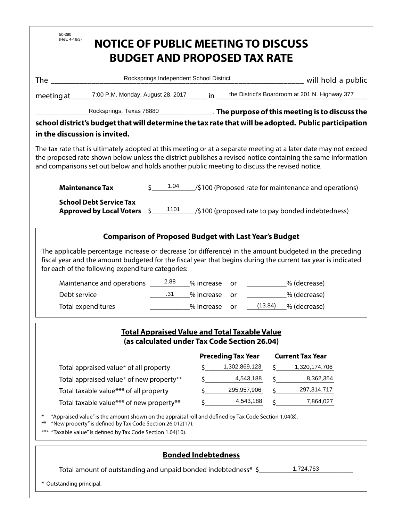| 50-280<br>(Rev. 4-16/3)<br><b>NOTICE OF PUBLIC MEETING TO DISCUSS</b><br><b>BUDGET AND PROPOSED TAX RATE</b>                                                                                                                                                                                                                     |                                               |                       |                                                                         |  |  |  |  |
|----------------------------------------------------------------------------------------------------------------------------------------------------------------------------------------------------------------------------------------------------------------------------------------------------------------------------------|-----------------------------------------------|-----------------------|-------------------------------------------------------------------------|--|--|--|--|
| The contract of the contract of the contract of the contract of the contract of the contract of the contract of the contract of the contract of the contract of the contract of the contract of the contract of the contract o                                                                                                   | Rocksprings Independent School District       |                       |                                                                         |  |  |  |  |
|                                                                                                                                                                                                                                                                                                                                  |                                               |                       | will hold a public<br>in the District's Boardroom at 201 N. Highway 377 |  |  |  |  |
|                                                                                                                                                                                                                                                                                                                                  |                                               |                       |                                                                         |  |  |  |  |
| Rocksprings, Texas 78880 <b>Manufact 2018</b> The purpose of this meeting is to discuss the<br>school district's budget that will determine the tax rate that will be adopted. Public participation<br>in the discussion is invited.                                                                                             |                                               |                       |                                                                         |  |  |  |  |
| The tax rate that is ultimately adopted at this meeting or at a separate meeting at a later date may not exceed<br>the proposed rate shown below unless the district publishes a revised notice containing the same information<br>and comparisons set out below and holds another public meeting to discuss the revised notice. |                                               |                       |                                                                         |  |  |  |  |
| <b>Maintenance Tax</b>                                                                                                                                                                                                                                                                                                           | 1.04                                          |                       | /\$100 (Proposed rate for maintenance and operations)                   |  |  |  |  |
| <b>School Debt Service Tax</b><br>Approved by Local Voters \$101<br>(\$100 (proposed rate to pay bonded indebtedness)                                                                                                                                                                                                            |                                               |                       |                                                                         |  |  |  |  |
| The applicable percentage increase or decrease (or difference) in the amount budgeted in the preceding<br>fiscal year and the amount budgeted for the fiscal year that begins during the current tax year is indicated<br>for each of the following expenditure categories:<br>Debt service<br>Total expenditures                | % increase<br>.31<br>% increase<br>% increase | or<br><b>or</b><br>or | % (decrease)<br>% (decrease)<br>$(13.84)$ _% (decrease)                 |  |  |  |  |
| <b>Total Appraised Value and Total Taxable Value</b><br>(as calculated under Tax Code Section 26.04)<br><b>Preceding Tax Year</b><br><b>Current Tax Year</b>                                                                                                                                                                     |                                               |                       |                                                                         |  |  |  |  |
| Total appraised value* of all property                                                                                                                                                                                                                                                                                           | Ŝ.                                            | 1,302,869,123         | 1,320,174,706<br>S.                                                     |  |  |  |  |
| Total appraised value* of new property**                                                                                                                                                                                                                                                                                         | $\zeta$ and $\zeta$                           | 4,543,188             | 8,362,354<br>\$.                                                        |  |  |  |  |
| Total taxable value*** of all property                                                                                                                                                                                                                                                                                           | \$                                            | 295,957,906           | 297,314,717                                                             |  |  |  |  |
| Total taxable value*** of new property**                                                                                                                                                                                                                                                                                         |                                               | 4,543,188             | 7,864,027                                                               |  |  |  |  |
| "Appraised value" is the amount shown on the appraisal roll and defined by Tax Code Section 1.04(8).<br>∗<br>"New property" is defined by Tax Code Section 26.012(17).<br>$***$<br>"Taxable value" is defined by Tax Code Section 1.04(10).<br>$***$                                                                             |                                               |                       |                                                                         |  |  |  |  |
| <b>Bonded Indebtedness</b><br>1,724,763<br>Total amount of outstanding and unpaid bonded indebtedness* \$<br>* Outstanding principal.                                                                                                                                                                                            |                                               |                       |                                                                         |  |  |  |  |